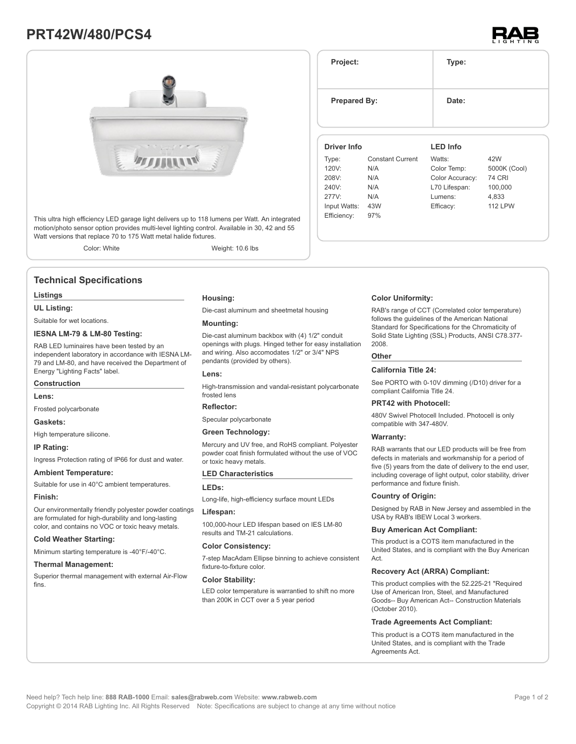# **PRT42W/480/PCS4**





This ultra high efficiency LED garage light delivers up to 118 lumens per Watt. An integrated motion/photo sensor option provides multi-level lighting control. Available in 30, 42 and 55 Watt versions that replace 70 to 175 Watt metal halide fixtures.

Color: White Weight: 10.6 lbs

### **Technical Specifications**

#### **Listings**

**UL Listing:**

Suitable for wet locations.

#### **IESNA LM-79 & LM-80 Testing:**

RAB LED luminaires have been tested by an independent laboratory in accordance with IESNA LM-79 and LM-80, and have received the Department of Energy "Lighting Facts" label.

### **Construction**

**Lens:**

Frosted polycarbonate

#### **Gaskets:**

High temperature silicone.

#### **IP Rating:**

Ingress Protection rating of IP66 for dust and water.

#### **Ambient Temperature:**

Suitable for use in 40°C ambient temperatures.

#### **Finish:**

Our environmentally friendly polyester powder coatings are formulated for high-durability and long-lasting color, and contains no VOC or toxic heavy metals.

#### **Cold Weather Starting:**

Minimum starting temperature is -40°F/-40°C.

#### **Thermal Management:**

Superior thermal management with external Air-Flow fins.

#### **Housing:**

Die-cast aluminum and sheetmetal housing

#### **Mounting:**

Die-cast aluminum backbox with (4) 1/2" conduit openings with plugs. Hinged tether for easy installation and wiring. Also accomodates 1/2" or 3/4" NPS pendants (provided by others).

#### **Lens:**

High-transmission and vandal-resistant polycarbonate frosted lens

#### **Reflector:**

Specular polycarbonate

#### **Green Technology:**

Mercury and UV free, and RoHS compliant. Polyester powder coat finish formulated without the use of VOC or toxic heavy metals.

#### **LED Characteristics**

#### **LEDs:**

Long-life, high-efficiency surface mount LEDs

#### **Lifespan:**

100,000-hour LED lifespan based on IES LM-80 results and TM-21 calculations.

#### **Color Consistency:**

7-step MacAdam Ellipse binning to achieve consistent fixture-to-fixture color.

#### **Color Stability:**

LED color temperature is warrantied to shift no more than 200K in CCT over a 5 year period

#### **Project: Type: Prepared By:** Date: **Driver Info** Type: Constant Current 120V: N/A 208V: N/A 240V: N/A 277V: N/A Input Watts: 43W **LED Info** Watts: 42W Color Temp: 5000K (Cool) Color Accuracy: 74 CRI L70 Lifespan: 100,000 Lumens: 4,833 Efficacy: 112 LPW

#### **Color Uniformity:**

RAB's range of CCT (Correlated color temperature) follows the guidelines of the American National Standard for Specifications for the Chromaticity of Solid State Lighting (SSL) Products, ANSI C78.377- 2008.

#### **Other**

Efficiency: 97%

#### **California Title 24:**

See PORTO with 0-10V dimming (/D10) driver for a compliant California Title 24.

#### **PRT42 with Photocell:**

480V Swivel Photocell Included. Photocell is only compatible with 347-480V.

#### **Warranty:**

RAB warrants that our LED products will be free from defects in materials and workmanship for a period of five (5) years from the date of delivery to the end user, including coverage of light output, color stability, driver performance and fixture finish.

#### **Country of Origin:**

Designed by RAB in New Jersey and assembled in the USA by RAB's IBEW Local 3 workers.

#### **Buy American Act Compliant:**

This product is a COTS item manufactured in the United States, and is compliant with the Buy American Act.

#### **Recovery Act (ARRA) Compliant:**

This product complies with the 52.225-21 "Required Use of American Iron, Steel, and Manufactured Goods-- Buy American Act-- Construction Materials (October 2010).

#### **Trade Agreements Act Compliant:**

This product is a COTS item manufactured in the United States, and is compliant with the Trade Agreements Act.